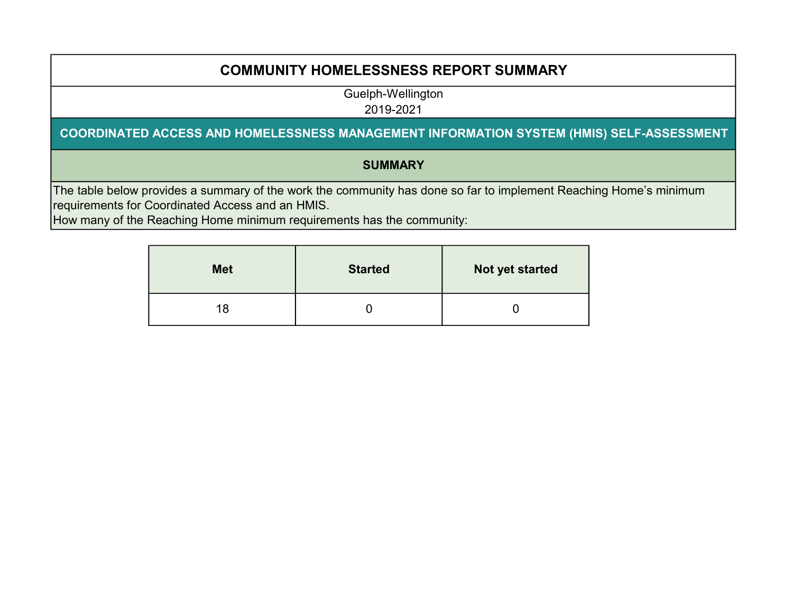## COMMUNITY HOMELESSNESS REPORT SUMMARY

Guelph-Wellington

2019-2021

#### COORDINATED ACCESS AND HOMELESSNESS MANAGEMENT INFORMATION SYSTEM (HMIS) SELF-ASSESSMENT

### **SUMMARY**

The table below provides a summary of the work the community has done so far to implement Reaching Home's minimum requirements for Coordinated Access and an HMIS.

How many of the Reaching Home minimum requirements has the community:

| <b>Met</b> | <b>Started</b> | Not yet started |
|------------|----------------|-----------------|
| 18         |                |                 |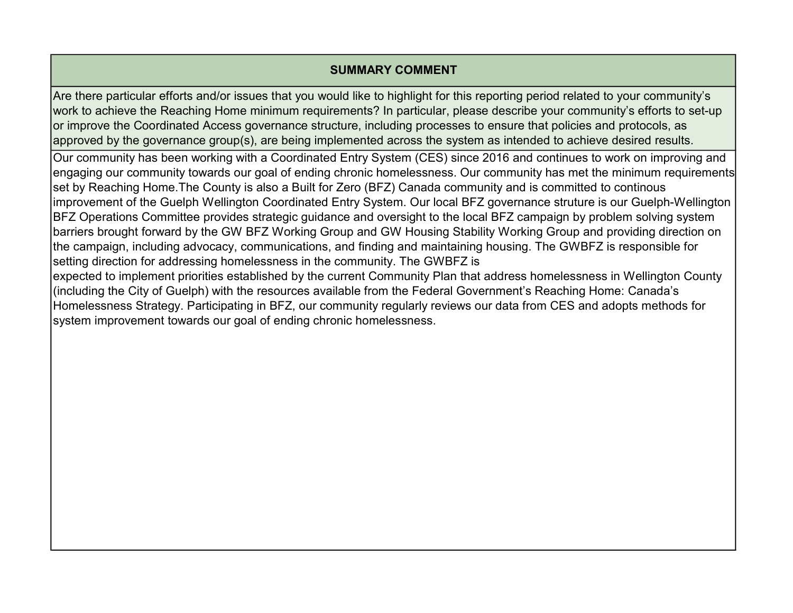### SUMMARY COMMENT

Are there particular efforts and/or issues that you would like to highlight for this reporting period related to your community's work to achieve the Reaching Home minimum requirements? In particular, please describe your community's efforts to set-up or improve the Coordinated Access governance structure, including processes to ensure that policies and protocols, as approved by the governance group(s), are being implemented across the system as intended to achieve desired results.

Our community has been working with a Coordinated Entry System (CES) since 2016 and continues to work on improving and engaging our community towards our goal of ending chronic homelessness. Our community has met the minimum requirements set by Reaching Home.The County is also a Built for Zero (BFZ) Canada community and is committed to continous improvement of the Guelph Wellington Coordinated Entry System. Our local BFZ governance struture is our Guelph-Wellington BFZ Operations Committee provides strategic guidance and oversight to the local BFZ campaign by problem solving system barriers brought forward by the GW BFZ Working Group and GW Housing Stability Working Group and providing direction on the campaign, including advocacy, communications, and finding and maintaining housing. The GWBFZ is responsible for setting direction for addressing homelessness in the community. The GWBFZ is

expected to implement priorities established by the current Community Plan that address homelessness in Wellington County (including the City of Guelph) with the resources available from the Federal Government's Reaching Home: Canada's Homelessness Strategy. Participating in BFZ, our community regularly reviews our data from CES and adopts methods for system improvement towards our goal of ending chronic homelessness.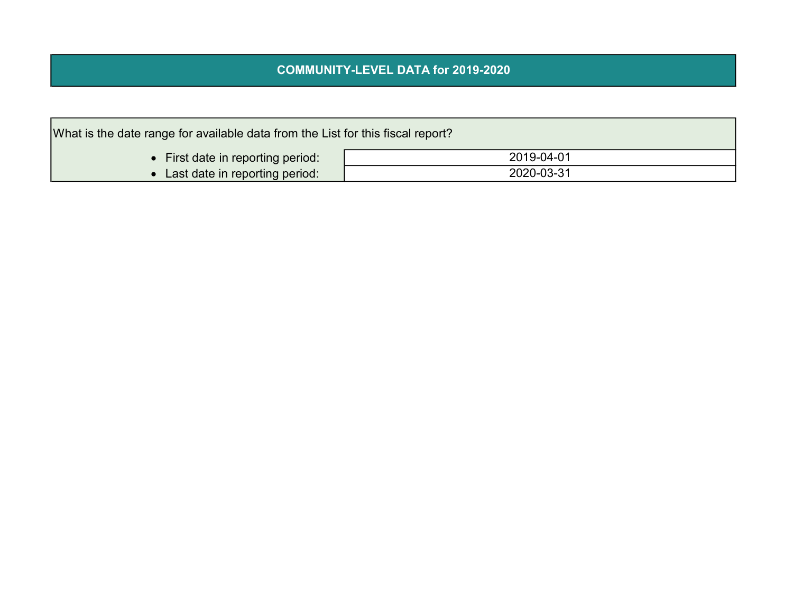### COMMUNITY-LEVEL DATA for 2019-2020

| What is the date range for available data from the List for this fiscal report? |            |  |  |  |  |  |  |  |  |
|---------------------------------------------------------------------------------|------------|--|--|--|--|--|--|--|--|
| • First date in reporting period:                                               | 2019-04-01 |  |  |  |  |  |  |  |  |
| 2020-03-31<br>• Last date in reporting period:                                  |            |  |  |  |  |  |  |  |  |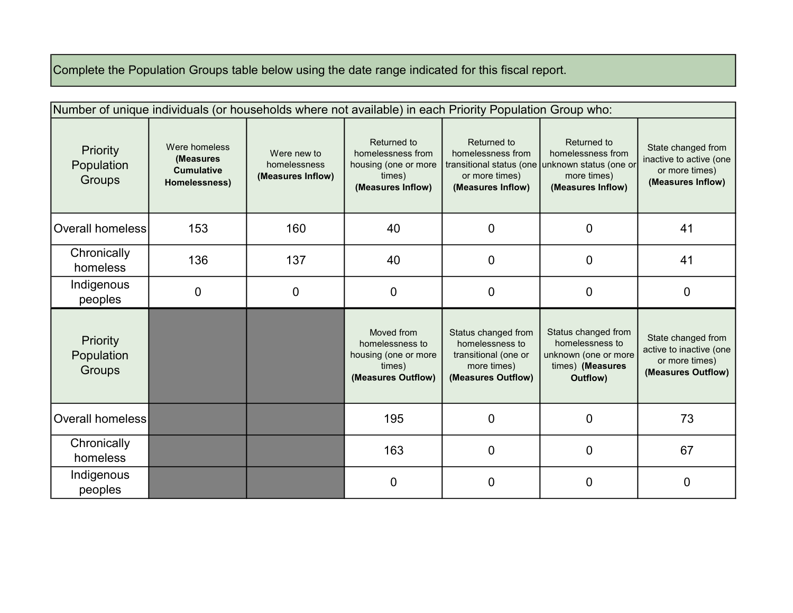# Complete the Population Groups table below using the date range indicated for this fiscal report.

|                                         |                                                                  | Number of unique individuals (or households where not available) in each Priority Population Group who: |                                                                                         |                                                                                                     |                                                                                                |                                                                                       |  |  |  |  |  |  |  |  |
|-----------------------------------------|------------------------------------------------------------------|---------------------------------------------------------------------------------------------------------|-----------------------------------------------------------------------------------------|-----------------------------------------------------------------------------------------------------|------------------------------------------------------------------------------------------------|---------------------------------------------------------------------------------------|--|--|--|--|--|--|--|--|
| <b>Priority</b><br>Population<br>Groups | Were homeless<br>(Measures<br><b>Cumulative</b><br>Homelessness) | Were new to<br>homelessness<br>(Measures Inflow)                                                        | Returned to<br>homelessness from<br>housing (one or more<br>times)<br>(Measures Inflow) | Returned to<br>homelessness from<br>transitional status (one<br>or more times)<br>(Measures Inflow) | Returned to<br>homelessness from<br>unknown status (one or<br>more times)<br>(Measures Inflow) | State changed from<br>inactive to active (one<br>or more times)<br>(Measures Inflow)  |  |  |  |  |  |  |  |  |
| Overall homeless                        | 153                                                              | 160                                                                                                     | 40                                                                                      | 0                                                                                                   | 0                                                                                              | 41                                                                                    |  |  |  |  |  |  |  |  |
| Chronically<br>homeless                 | 136                                                              | 137                                                                                                     | 40                                                                                      | 0                                                                                                   | 0                                                                                              | 41                                                                                    |  |  |  |  |  |  |  |  |
| Indigenous<br>peoples                   | 0                                                                | $\mathbf 0$                                                                                             | 0                                                                                       | 0                                                                                                   | 0                                                                                              | 0                                                                                     |  |  |  |  |  |  |  |  |
| Priority<br>Population<br>Groups        |                                                                  |                                                                                                         | Moved from<br>homelessness to<br>housing (one or more<br>times)<br>(Measures Outflow)   | Status changed from<br>homelessness to<br>transitional (one or<br>more times)<br>(Measures Outflow) | Status changed from<br>homelessness to<br>unknown (one or more<br>times) (Measures<br>Outflow) | State changed from<br>active to inactive (one<br>or more times)<br>(Measures Outflow) |  |  |  |  |  |  |  |  |
| Overall homeless                        |                                                                  |                                                                                                         | 195                                                                                     | 0                                                                                                   | 0                                                                                              | 73                                                                                    |  |  |  |  |  |  |  |  |
| Chronically<br>homeless                 |                                                                  |                                                                                                         | 163                                                                                     | $\mathbf 0$                                                                                         | 0                                                                                              | 67                                                                                    |  |  |  |  |  |  |  |  |
| Indigenous<br>peoples                   |                                                                  |                                                                                                         | 0                                                                                       | 0                                                                                                   | 0                                                                                              | 0                                                                                     |  |  |  |  |  |  |  |  |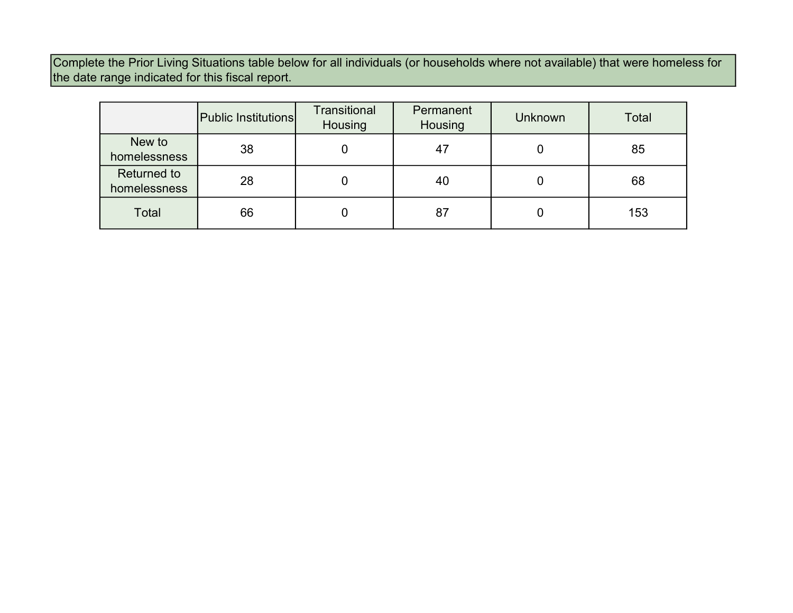Complete the Prior Living Situations table below for all individuals (or households where not available) that were homeless for the date range indicated for this fiscal report.

|                                    | Public Institutions | <b>Transitional</b><br>Housing | Permanent<br>Housing | <b>Unknown</b> | Total |
|------------------------------------|---------------------|--------------------------------|----------------------|----------------|-------|
| New to<br>homelessness             | 38                  |                                | 47                   | O              | 85    |
| <b>Returned to</b><br>homelessness | 28                  |                                | 40                   | U              | 68    |
| Total                              | 66                  |                                | 87                   |                | 153   |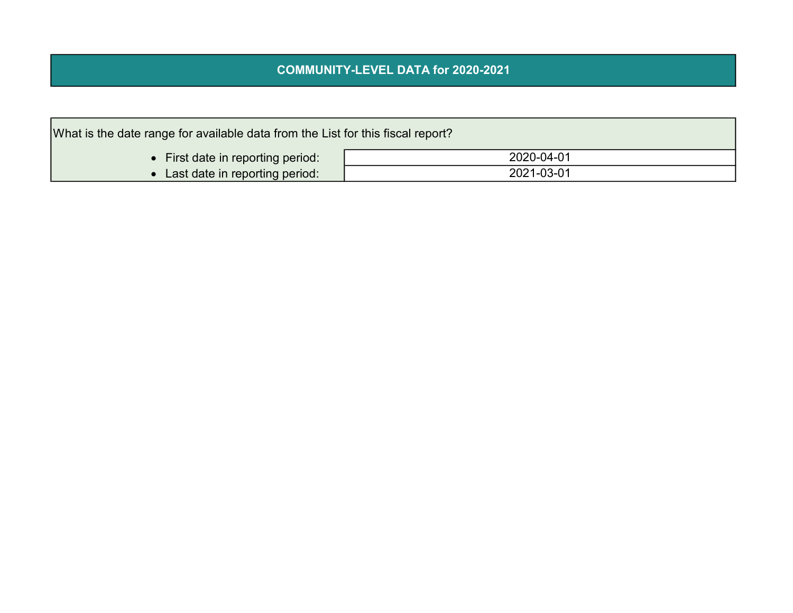### COMMUNITY-LEVEL DATA for 2020-2021

| What is the date range for available data from the List for this fiscal report? |            |  |  |  |  |  |  |  |  |
|---------------------------------------------------------------------------------|------------|--|--|--|--|--|--|--|--|
| • First date in reporting period:                                               | 2020-04-01 |  |  |  |  |  |  |  |  |
| 2021-03-01<br>• Last date in reporting period:                                  |            |  |  |  |  |  |  |  |  |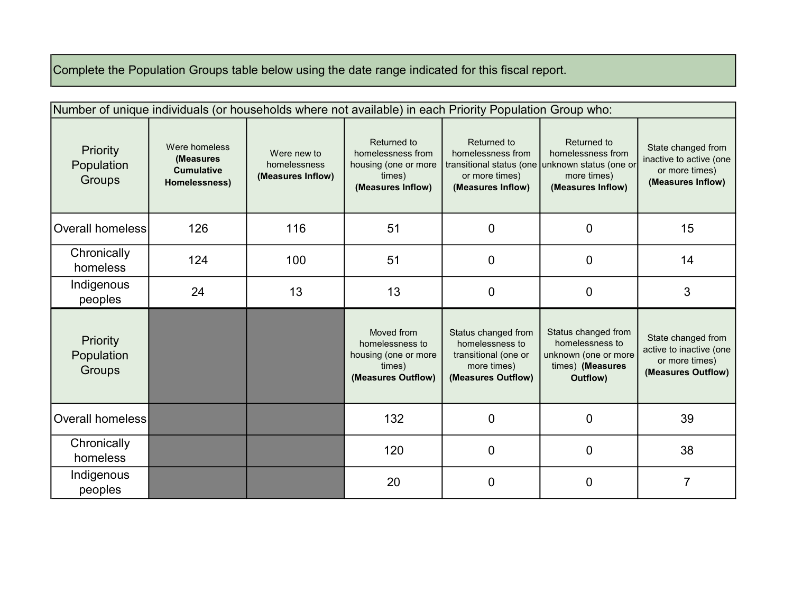# Complete the Population Groups table below using the date range indicated for this fiscal report.

|                                         | Number of unique individuals (or households where not available) in each Priority Population Group who: |                                                                                                                                                                                                                                                    |                                                                                       |                                                                                                     |                                                                                                |                                                                                       |  |  |  |  |  |  |  |
|-----------------------------------------|---------------------------------------------------------------------------------------------------------|----------------------------------------------------------------------------------------------------------------------------------------------------------------------------------------------------------------------------------------------------|---------------------------------------------------------------------------------------|-----------------------------------------------------------------------------------------------------|------------------------------------------------------------------------------------------------|---------------------------------------------------------------------------------------|--|--|--|--|--|--|--|
| <b>Priority</b><br>Population<br>Groups | Were homeless<br>(Measures<br><b>Cumulative</b><br>Homelessness)                                        | Returned to<br>Returned to<br>homelessness from<br>homelessness from<br>Were new to<br>homelessness<br>housing (one or more<br>transitional status (one<br>or more times)<br>(Measures Inflow)<br>times)<br>(Measures Inflow)<br>(Measures Inflow) |                                                                                       | Returned to<br>homelessness from<br>unknown status (one or<br>more times)<br>(Measures Inflow)      | State changed from<br>inactive to active (one<br>or more times)<br>(Measures Inflow)           |                                                                                       |  |  |  |  |  |  |  |
| Overall homeless                        | 126                                                                                                     | 116                                                                                                                                                                                                                                                | 51                                                                                    | $\mathbf 0$                                                                                         | 0                                                                                              | 15                                                                                    |  |  |  |  |  |  |  |
| Chronically<br>homeless                 | 124                                                                                                     | 100                                                                                                                                                                                                                                                | 51                                                                                    | 0                                                                                                   | $\mathbf 0$                                                                                    | 14                                                                                    |  |  |  |  |  |  |  |
| Indigenous<br>peoples                   | 24                                                                                                      | 13                                                                                                                                                                                                                                                 | 13                                                                                    | 0                                                                                                   | 0                                                                                              | 3                                                                                     |  |  |  |  |  |  |  |
| <b>Priority</b><br>Population<br>Groups |                                                                                                         |                                                                                                                                                                                                                                                    | Moved from<br>homelessness to<br>housing (one or more<br>times)<br>(Measures Outflow) | Status changed from<br>homelessness to<br>transitional (one or<br>more times)<br>(Measures Outflow) | Status changed from<br>homelessness to<br>unknown (one or more<br>times) (Measures<br>Outflow) | State changed from<br>active to inactive (one<br>or more times)<br>(Measures Outflow) |  |  |  |  |  |  |  |
| Overall homeless                        |                                                                                                         |                                                                                                                                                                                                                                                    | 132                                                                                   | $\mathbf 0$                                                                                         | 0                                                                                              | 39                                                                                    |  |  |  |  |  |  |  |
| Chronically<br>homeless                 |                                                                                                         |                                                                                                                                                                                                                                                    | 120                                                                                   | 0                                                                                                   | 0                                                                                              | 38                                                                                    |  |  |  |  |  |  |  |
| Indigenous<br>peoples                   |                                                                                                         |                                                                                                                                                                                                                                                    | 20                                                                                    | 0                                                                                                   | 0                                                                                              | 7                                                                                     |  |  |  |  |  |  |  |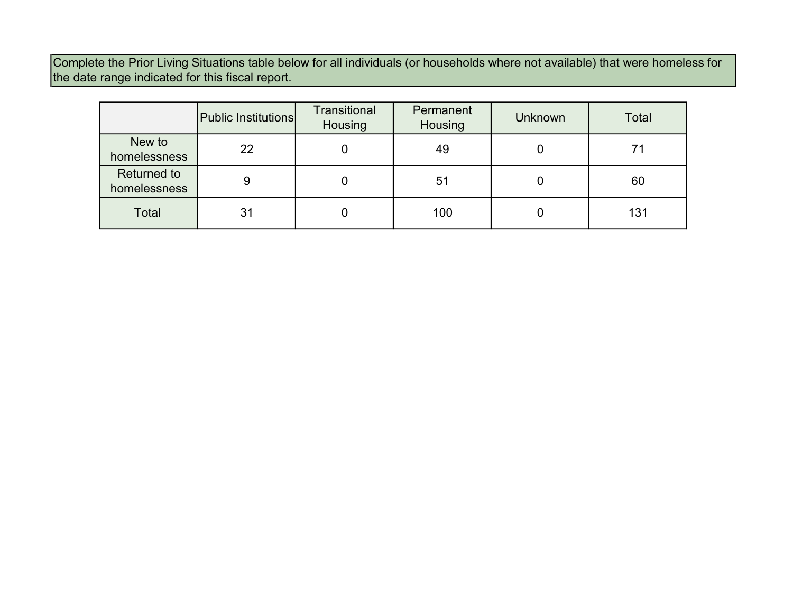Complete the Prior Living Situations table below for all individuals (or households where not available) that were homeless for the date range indicated for this fiscal report.

|                                    | <b>Public Institutions</b> | <b>Transitional</b><br>Housing | Permanent<br>Housing | <b>Unknown</b> | Total |
|------------------------------------|----------------------------|--------------------------------|----------------------|----------------|-------|
| New to<br>homelessness             | 22                         |                                | 49                   | O              | 71    |
| <b>Returned to</b><br>homelessness | 9                          |                                | 51                   | U              | 60    |
| Total                              | 31                         |                                | 100                  |                | 131   |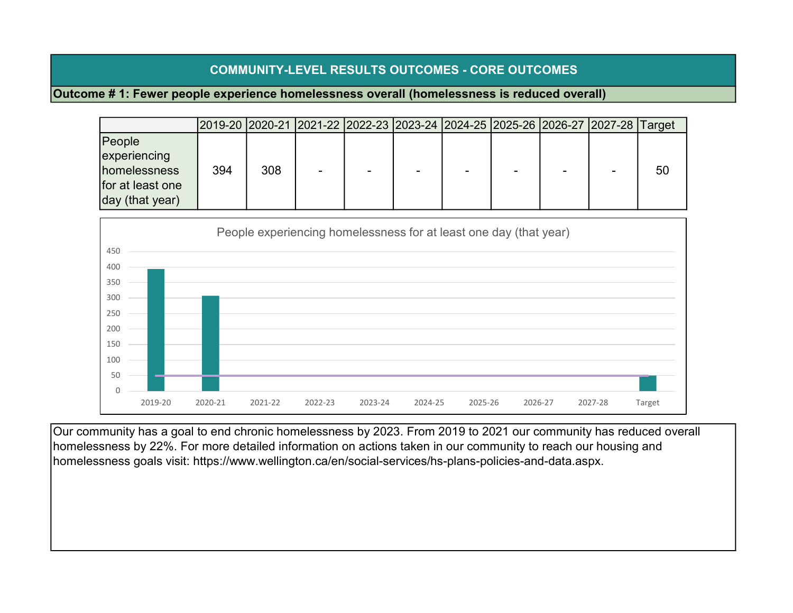### COMMUNITY-LEVEL RESULTS OUTCOMES - CORE OUTCOMES

#### Outcome # 1: Fewer people experience homelessness overall (homelessness is reduced overall)

|                                                                                       |     |     | 2019-20  2020-21  2021-22  2022-23  2023-24  2024-25  2025-26  2026-27  2027-28  Target |  |  |  |    |
|---------------------------------------------------------------------------------------|-----|-----|-----------------------------------------------------------------------------------------|--|--|--|----|
| People<br>experiencing<br>homelessness<br>for at least one<br>$\vert$ day (that year) | 394 | 308 |                                                                                         |  |  |  | 50 |



Our community has a goal to end chronic homelessness by 2023. From 2019 to 2021 our community has reduced overall homelessness by 22%. For more detailed information on actions taken in our community to reach our housing and homelessness goals visit: https://www.wellington.ca/en/social-services/hs-plans-policies-and-data.aspx.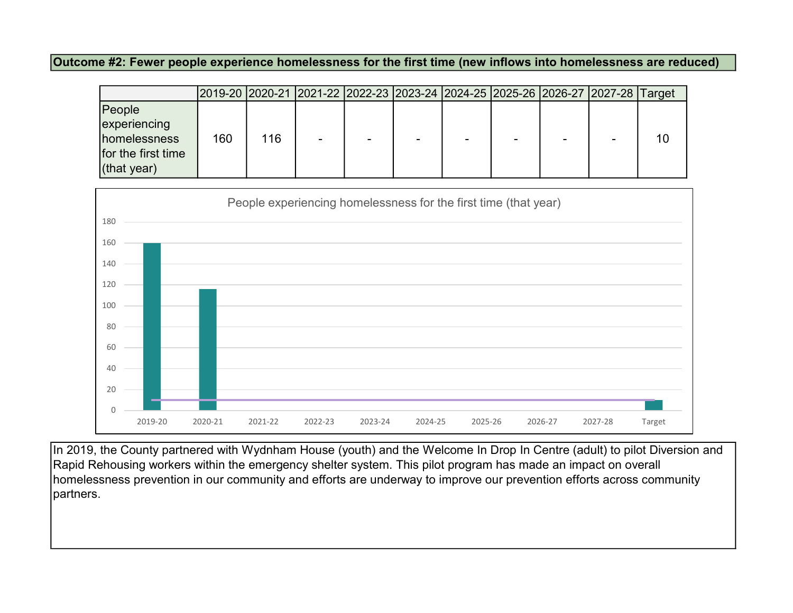Outcome #2: Fewer people experience homelessness for the first time (new inflows into homelessness are reduced)

|                     | 2019-20  2020-21  2021-22  2022-23  2023-24  2024-25  2025-26  2026-27  2027-28  Target |     |                          |  |  |    |
|---------------------|-----------------------------------------------------------------------------------------|-----|--------------------------|--|--|----|
| People              |                                                                                         |     |                          |  |  |    |
| experiencing        |                                                                                         |     |                          |  |  |    |
| <b>homelessness</b> | 160                                                                                     | 116 | $\overline{\phantom{0}}$ |  |  | 10 |
| for the first time  |                                                                                         |     |                          |  |  |    |
| $ $ (that year)     |                                                                                         |     |                          |  |  |    |



In 2019, the County partnered with Wydnham House (youth) and the Welcome In Drop In Centre (adult) to pilot Diversion and Rapid Rehousing workers within the emergency shelter system. This pilot program has made an impact on overall homelessness prevention in our community and efforts are underway to improve our prevention efforts across community partners.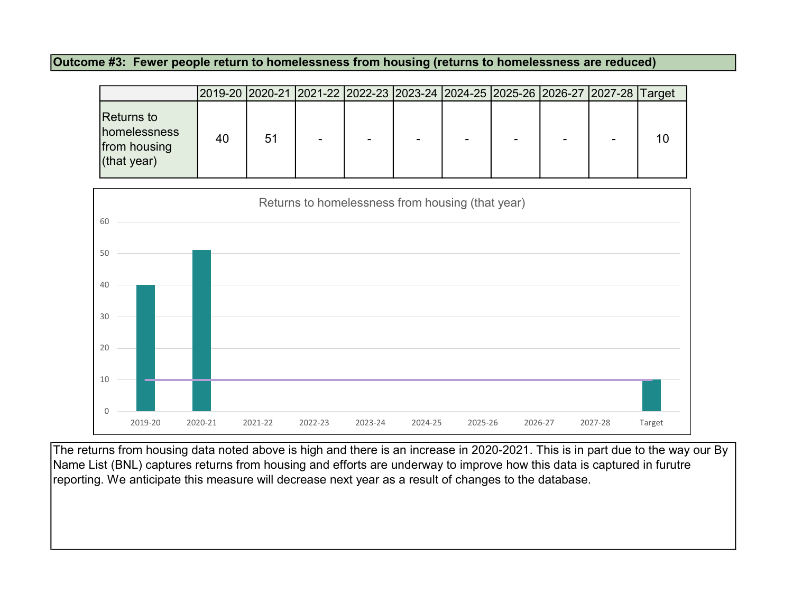Outcome #3: Fewer people return to homelessness from housing (returns to homelessness are reduced)

|                                                                       | 2019-20  2020-21  2021-22  2022-23  2023-24  2024-25  2025-26  2026-27  2027-28  Target |    |   |  |  |  |
|-----------------------------------------------------------------------|-----------------------------------------------------------------------------------------|----|---|--|--|--|
| Returns to<br><b>Inomelessness</b><br>from housing<br>$ $ (that year) | 40                                                                                      | 51 | ۰ |  |  |  |



The returns from housing data noted above is high and there is an increase in 2020-2021. This is in part due to the way our By Name List (BNL) captures returns from housing and efforts are underway to improve how this data is captured in furutre reporting. We anticipate this measure will decrease next year as a result of changes to the database.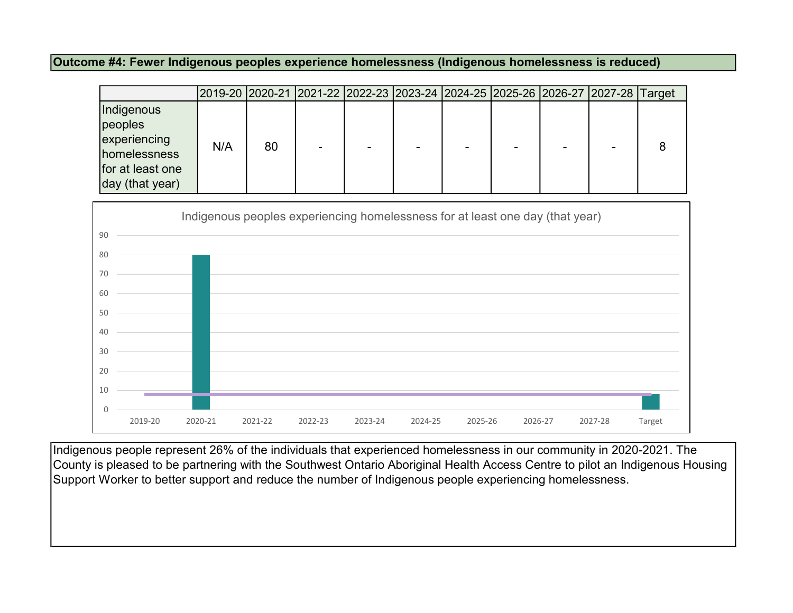Outcome #4: Fewer Indigenous peoples experience homelessness (Indigenous homelessness is reduced)

|                                                                                              |                                                                               | 2019-20  2020-21  2021-22  2022-23  2023-24  2024-25  2025-26  2026-27  2027-28 |         |         |         |         |         |         | Target |
|----------------------------------------------------------------------------------------------|-------------------------------------------------------------------------------|---------------------------------------------------------------------------------|---------|---------|---------|---------|---------|---------|--------|
| Indigenous<br>peoples<br>experiencing<br>homelessness<br>for at least one<br>day (that year) | N/A                                                                           | 80                                                                              |         |         |         |         |         |         | 8      |
|                                                                                              | Indigenous peoples experiencing homelessness for at least one day (that year) |                                                                                 |         |         |         |         |         |         |        |
| 90                                                                                           |                                                                               |                                                                                 |         |         |         |         |         |         |        |
| 80                                                                                           |                                                                               |                                                                                 |         |         |         |         |         |         |        |
| 70                                                                                           |                                                                               |                                                                                 |         |         |         |         |         |         |        |
| 60                                                                                           |                                                                               |                                                                                 |         |         |         |         |         |         |        |
| 50                                                                                           |                                                                               |                                                                                 |         |         |         |         |         |         |        |
| 40                                                                                           |                                                                               |                                                                                 |         |         |         |         |         |         |        |
| $30\,$                                                                                       |                                                                               |                                                                                 |         |         |         |         |         |         |        |
| 20                                                                                           |                                                                               |                                                                                 |         |         |         |         |         |         |        |
| $10\,$                                                                                       |                                                                               |                                                                                 |         |         |         |         |         |         |        |
| 0                                                                                            |                                                                               |                                                                                 |         |         |         |         |         |         |        |
| 2019-20                                                                                      | 2020-21                                                                       | 2021-22                                                                         | 2022-23 | 2023-24 | 2024-25 | 2025-26 | 2026-27 | 2027-28 | Target |

Indigenous people represent 26% of the individuals that experienced homelessness in our community in 2020-2021. The County is pleased to be partnering with the Southwest Ontario Aboriginal Health Access Centre to pilot an Indigenous Housing Support Worker to better support and reduce the number of Indigenous people experiencing homelessness.